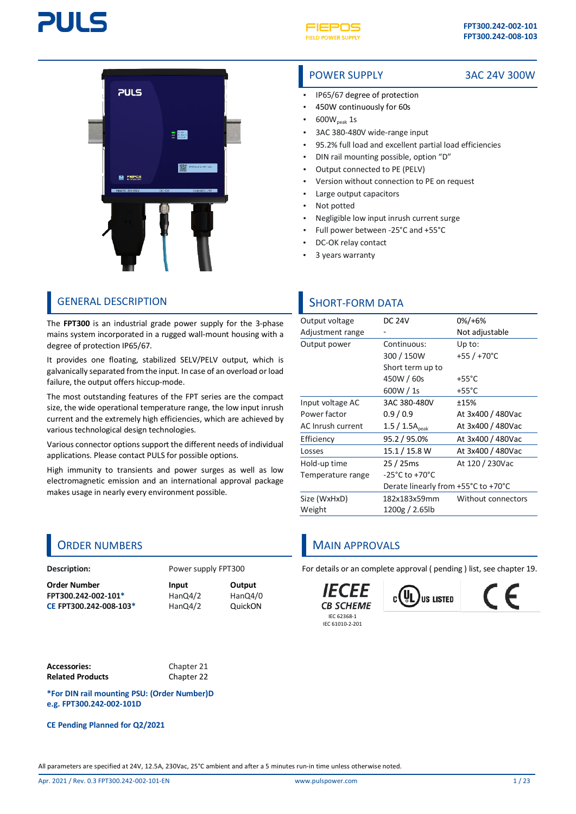





### GENERAL DESCRIPTION SHORT-FORM DATA

The **FPT300** is an industrial grade power supply for the 3-phase mains system incorporated in a rugged wall-mount housing with a degree of protection IP65/67.

It provides one floating, stabilized SELV/PELV output, which is galvanically separated from the input. In case of an overload or load failure, the output offers hiccup-mode.

The most outstanding features of the FPT series are the compact size, the wide operational temperature range, the low input inrush current and the extremely high efficiencies, which are achieved by various technological design technologies.

Various connector options support the different needs of individual applications. Please contact PULS for possible options.

High immunity to transients and power surges as well as low electromagnetic emission and an international approval package makes usage in nearly every environment possible.

#### **Description:** Power supply FPT300

**Order Number Input Output FPT300.242-002-101\*** HanQ4/2 HanQ4/0<br> **CE FPT300.242-008-103\*** HanQ4/2 QuickON **CE FPT300.242-008-103\*** HanQ4/2 QuickON

**Accessories:** Chapte[r 21](#page-19-0) **Related Products** Chapte[r 22](#page-20-0)

**\*For DIN rail mounting PSU: (Order Number)D e.g. FPT300.242-002-101D**

**CE Pending Planned for Q2/2021**

### POWER SUPPLY 3AC 24V 300W

- IP65/67 degree of protection
- 450W continuously for 60s
- $600W_{\text{peak}}$  1s
- 3AC 380-480V wide-range input
- 95.2% full load and excellent partial load efficiencies
- DIN rail mounting possible, option "D"
- Output connected to PE (PELV)
- Version without connection to PE on request
- Large output capacitors
- Not potted
- Negligible low input inrush current surge
- Full power between -25°C and +55°C
- DC-OK relay contact
- 3 years warranty

| Output voltage    | <b>DC 24V</b>                       | $0\%/+6\%$               |
|-------------------|-------------------------------------|--------------------------|
| Adjustment range  |                                     | Not adjustable           |
| Output power      | Continuous:                         | Up to:                   |
|                   | 300 / 150W                          | +55 $/$ +70 $^{\circ}$ C |
|                   | Short term up to                    |                          |
|                   | 450W / 60s                          | $+55^{\circ}$ C          |
|                   | 600W / 1s                           | $+55^{\circ}$ C          |
| Input voltage AC  | 3AC 380-480V                        | ±15%                     |
| Power factor      | 0.9/0.9                             | At 3x400 / 480Vac        |
| AC Inrush current | $1.5 / 1.5A_{peak}$                 | At 3x400 / 480Vac        |
| Efficiency        | 95.2 / 95.0%                        | At 3x400 / 480Vac        |
| Losses            | 15.1 / 15.8 W                       | At 3x400 / 480Vac        |
| Hold-up time      | 25 / 25ms                           | At 120 / 230Vac          |
| Temperature range | $-25^{\circ}$ C to $+70^{\circ}$ C  |                          |
|                   | Derate linearly from +55°C to +70°C |                          |
| Size (WxHxD)      | 182x183x59mm                        | Without connectors       |
| Weight            | 1200g / 2.65lb                      |                          |
|                   |                                     |                          |

## ORDER NUMBERS MAIN APPROVALS

For details or an complete approval ( pending ) list, see chapter [19.](#page-18-0)

*IFCFF* **CB SCHEME** IEC 62368-1 IEC 61010-2-201



F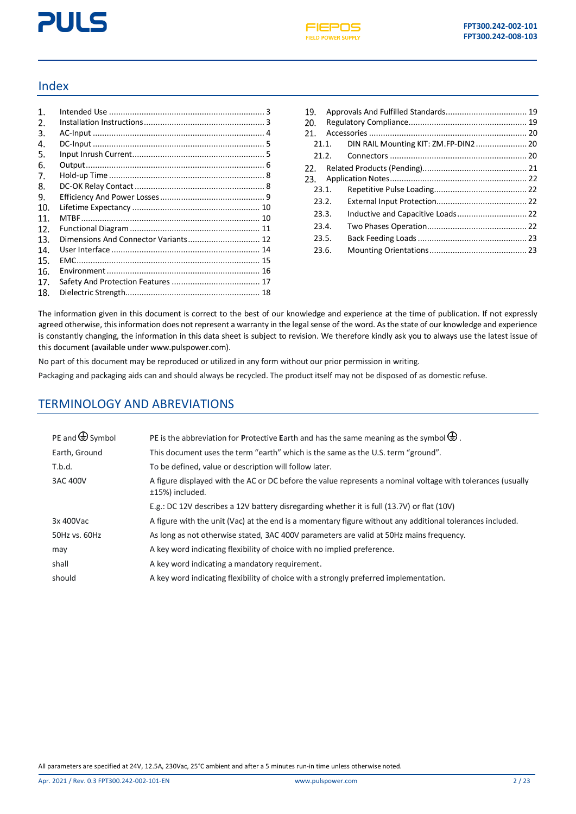# **PULS**



### Index

| $\mathbf{1}$ . |                                      |  |
|----------------|--------------------------------------|--|
| 2.             |                                      |  |
| 3.             |                                      |  |
| 4.             |                                      |  |
| 5.             |                                      |  |
| 6.             |                                      |  |
| 7.             |                                      |  |
| 8.             |                                      |  |
| 9.             |                                      |  |
| 10.            |                                      |  |
| 11.            |                                      |  |
| 12.            |                                      |  |
| 13.            | Dimensions And Connector Variants 12 |  |
| 14.            |                                      |  |
| 15.            |                                      |  |
| 16.            |                                      |  |
| 17.            |                                      |  |
| 18.            |                                      |  |
|                |                                      |  |

| 19.   |       |                                   |  |  |  |  |  |
|-------|-------|-----------------------------------|--|--|--|--|--|
| 20.   |       |                                   |  |  |  |  |  |
| 21.   |       |                                   |  |  |  |  |  |
|       | 21.1. |                                   |  |  |  |  |  |
|       |       |                                   |  |  |  |  |  |
|       |       |                                   |  |  |  |  |  |
|       |       |                                   |  |  |  |  |  |
|       | 23.1. |                                   |  |  |  |  |  |
|       | 23.2. |                                   |  |  |  |  |  |
| 23.3. |       | Inductive and Capacitive Loads 22 |  |  |  |  |  |
| 23.4. |       |                                   |  |  |  |  |  |
| 23.5. |       |                                   |  |  |  |  |  |
| 23.6. |       |                                   |  |  |  |  |  |

The information given in this document is correct to the best of our knowledge and experience at the time of publication. If not expressly agreed otherwise, this information does not represent a warranty in the legal sense of the word. As the state of our knowledge and experience is constantly changing, the information in this data sheet is subject to revision. We therefore kindly ask you to always use the latest issue of this document (available unde[r www.pulspower.com\)](http://www.pulspower.com/).

No part of this document may be reproduced or utilized in any form without our prior permission in writing.

Packaging and packaging aids can and should always be recycled. The product itself may not be disposed of as domestic refuse.

### TERMINOLOGY AND ABREVIATIONS

| PE and $\bigoplus$ Symbol | PE is the abbreviation for Protective Earth and has the same meaning as the symbol $\bigoplus$ .                               |
|---------------------------|--------------------------------------------------------------------------------------------------------------------------------|
| Earth, Ground             | This document uses the term "earth" which is the same as the U.S. term "ground".                                               |
| T.b.d.                    | To be defined, value or description will follow later.                                                                         |
| 3AC 400V                  | A figure displayed with the AC or DC before the value represents a nominal voltage with tolerances (usually<br>±15%) included. |
|                           | E.g.: DC 12V describes a 12V battery disregarding whether it is full (13.7V) or flat (10V)                                     |
| 3x 400Vac                 | A figure with the unit (Vac) at the end is a momentary figure without any additional tolerances included.                      |
| 50Hz vs. 60Hz             | As long as not otherwise stated, 3AC 400V parameters are valid at 50Hz mains frequency.                                        |
| may                       | A key word indicating flexibility of choice with no implied preference.                                                        |
| shall                     | A key word indicating a mandatory requirement.                                                                                 |
| should                    | A key word indicating flexibility of choice with a strongly preferred implementation.                                          |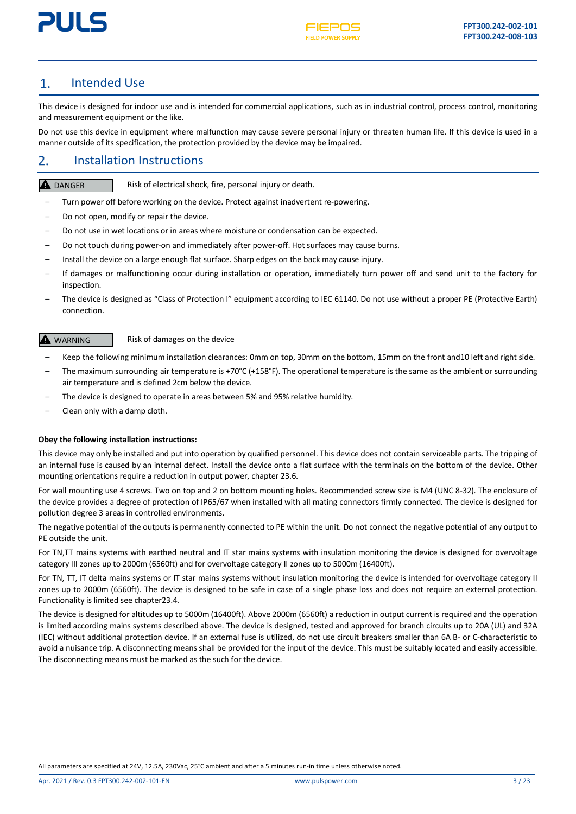

#### <span id="page-2-0"></span>Intended Use  $\mathbf{1}$ .

This device is designed for indoor use and is intended for commercial applications, such as in industrial control, process control, monitoring and measurement equipment or the like.

Do not use this device in equipment where malfunction may cause severe personal injury or threaten human life. If this device is used in a manner outside of its specification, the protection provided by the device may be impaired.

#### <span id="page-2-1"></span>2. Installation Instructions

### **A** DANGER

Risk of electrical shock, fire, personal injury or death.

- Turn power off before working on the device. Protect against inadvertent re-powering.
- Do not open, modify or repair the device.
- Do not use in wet locations or in areas where moisture or condensation can be expected.
- Do not touch during power-on and immediately after power-off. Hot surfaces may cause burns.
- Install the device on a large enough flat surface. Sharp edges on the back may cause injury.
- If damages or malfunctioning occur during installation or operation, immediately turn power off and send unit to the factory for inspection.
- The device is designed as "Class of Protection I" equipment according to IEC 61140. Do not use without a proper PE (Protective Earth) connection.

#### **A** WARNING

Risk of damages on the device

- Keep the following minimum installation clearances: 0mm on top, 30mm on the bottom, 15mm on the front and10 left and right side.
- The maximum surrounding air temperature is +70°C (+158°F). The operational temperature is the same as the ambient or surrounding air temperature and is defined 2cm below the device.
- The device is designed to operate in areas between 5% and 95% relative humidity.
- Clean only with a damp cloth.

#### **Obey the following installation instructions:**

This device may only be installed and put into operation by qualified personnel. This device does not contain serviceable parts. The tripping of an internal fuse is caused by an internal defect. Install the device onto a flat surface with the terminals on the bottom of the device. Other mounting orientations require a reduction in output power, chapte[r 23.6.](#page-22-1)

For wall mounting use 4 screws. Two on top and 2 on bottom mounting holes. Recommended screw size is M4 (UNC 8-32). The enclosure of the device provides a degree of protection of IP65/67 when installed with all mating connectors firmly connected. The device is designed for pollution degree 3 areas in controlled environments.

The negative potential of the outputs is permanently connected to PE within the unit. Do not connect the negative potential of any output to PE outside the unit.

For TN,TT mains systems with earthed neutral and IT star mains systems with insulation monitoring the device is designed for overvoltage category III zones up to 2000m (6560ft) and for overvoltage category II zones up to 5000m (16400ft).

For TN, TT, IT delta mains systems or IT star mains systems without insulation monitoring the device is intended for overvoltage category II zones up to 2000m (6560ft). The device is designed to be safe in case of a single phase loss and does not require an external protection. Functionality is limited see chapte[r23.4.](#page-21-4)

The device is designed for altitudes up to 5000m (16400ft). Above 2000m (6560ft) a reduction in output current is required and the operation is limited according mains systems described above. The device is designed, tested and approved for branch circuits up to 20A (UL) and 32A (IEC) without additional protection device. If an external fuse is utilized, do not use circuit breakers smaller than 6A B- or C-characteristic to avoid a nuisance trip. A disconnecting means shall be provided for the input of the device. This must be suitably located and easily accessible. The disconnecting means must be marked as the such for the device.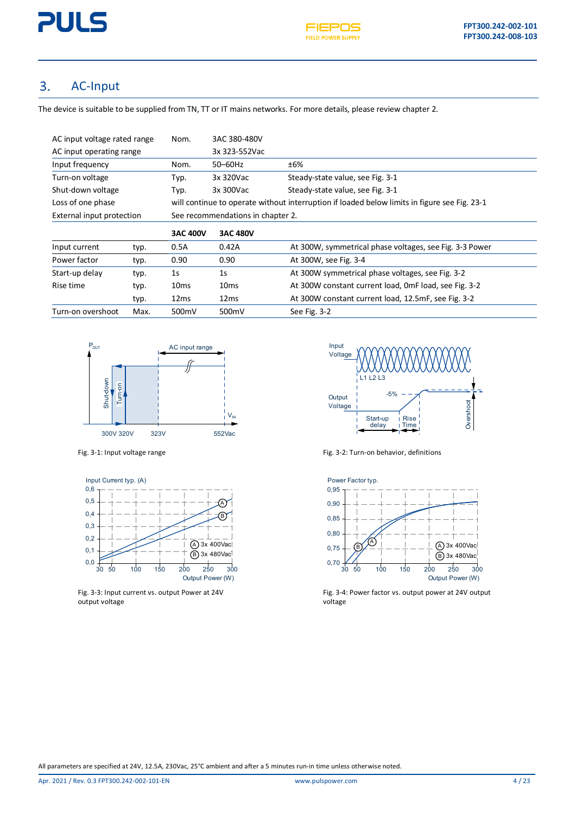#### <span id="page-3-0"></span>3. AC-Input

The device is suitable to be supplied from TN, TT or IT mains networks. For more details, please review chapter 2.

| AC input voltage rated range              |      | Nom.             | 3AC 380-480V                      |                                                                                              |  |
|-------------------------------------------|------|------------------|-----------------------------------|----------------------------------------------------------------------------------------------|--|
| AC input operating range                  |      | 3x 323-552Vac    |                                   |                                                                                              |  |
| Input frequency<br>50-60Hz<br>±6%<br>Nom. |      |                  |                                   |                                                                                              |  |
| Turn-on voltage<br>Typ.                   |      |                  | 3x 320Vac                         | Steady-state value, see Fig. 3-1                                                             |  |
| Shut-down voltage                         |      | Typ.             | 3x 300Vac                         | Steady-state value, see Fig. 3-1                                                             |  |
| Loss of one phase                         |      |                  |                                   | will continue to operate without interruption if loaded below limits in figure see Fig. 23-1 |  |
| External input protection                 |      |                  | See recommendations in chapter 2. |                                                                                              |  |
|                                           |      | <b>3AC 400V</b>  | <b>3AC 480V</b>                   |                                                                                              |  |
| Input current                             | typ. | 0.5A             | 0.42A                             | At 300W, symmetrical phase voltages, see Fig. 3-3 Power                                      |  |
| Power factor                              | typ. | 0.90             | 0.90                              | At 300W, see Fig. 3-4                                                                        |  |
| Start-up delay                            | typ. | 1 <sub>S</sub>   | 1 <sub>S</sub>                    | At 300W symmetrical phase voltages, see Fig. 3-2                                             |  |
| Rise time                                 | typ. | 10 <sub>ms</sub> | 10 <sub>ms</sub>                  | At 300W constant current load, OmF load, see Fig. 3-2                                        |  |
|                                           | typ. | 12ms             | 12ms                              | At 300W constant current load, 12.5mF, see Fig. 3-2                                          |  |
| Turn-on overshoot                         | Max. | 500mV            | 500mV                             | See Fig. 3-2                                                                                 |  |





<span id="page-3-2"></span>Fig. 3-3: Input current vs. output Power at 24V output voltage



<span id="page-3-1"></span>Fig. 3-2: Turn-on behavior, definitions of the Fig. 3-2: Turn-on behavior, definitions

<span id="page-3-4"></span>

<span id="page-3-3"></span>Fig. 3-4: Power factor vs. output power at 24V output voltage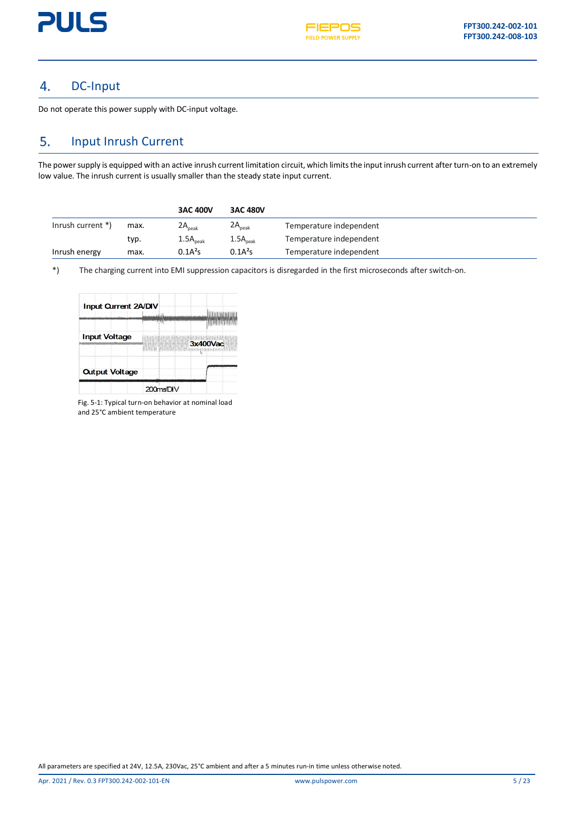

#### <span id="page-4-0"></span>DC-Input 4.

Do not operate this power supply with DC-input voltage.

#### <span id="page-4-1"></span>5. Input Inrush Current

The power supply is equipped with an active inrush current limitation circuit, which limits the input inrush current after turn-on to an extremely low value. The inrush current is usually smaller than the steady state input current.

|                   |      | <b>3AC 400V</b>      | <b>3AC 480V</b>      |                         |
|-------------------|------|----------------------|----------------------|-------------------------|
| Inrush current *) | max. | $2A_{peak}$          | $2A_{\text{peak}}$   | Temperature independent |
|                   | typ. | $1.5A_{\text{peak}}$ | $1.5A_{\text{peak}}$ | Temperature independent |
| Inrush energy     | max. | 0.1A <sup>2</sup> S  | 0.1A <sup>2</sup> S  | Temperature independent |

\*) The charging current into EMI suppression capacitors is disregarded in the first microseconds after switch-on.

| Input Current 2A/DIV  |          |
|-----------------------|----------|
|                       |          |
| <b>Input Voltage</b>  | 3x400Vac |
| <b>Output Voltage</b> |          |
|                       | 200msDIV |

Fig. 5-1: Typical turn-on behavior at nominal load and 25°C ambient temperature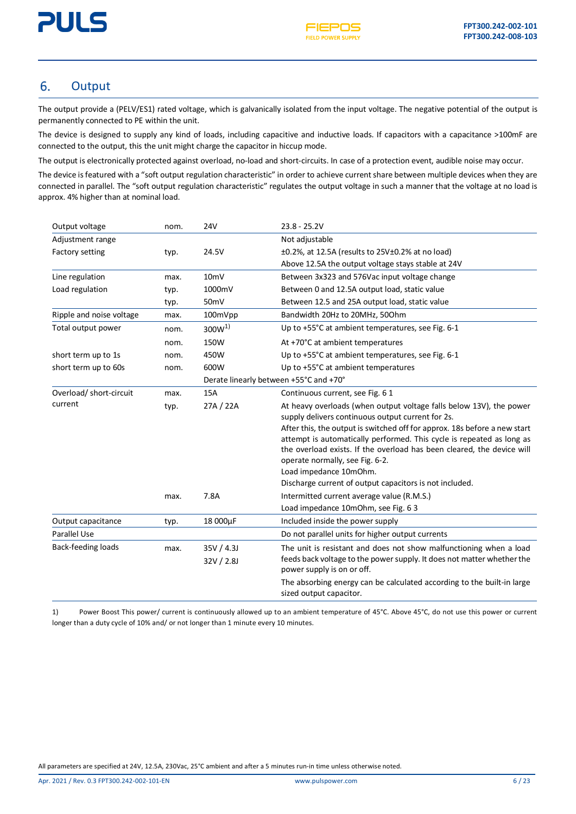

#### <span id="page-5-0"></span>6. **Output**

The output provide a (PELV/ES1) rated voltage, which is galvanically isolated from the input voltage. The negative potential of the output is permanently connected to PE within the unit.

The device is designed to supply any kind of loads, including capacitive and inductive loads. If capacitors with a capacitance >100mF are connected to the output, this the unit might charge the capacitor in hiccup mode.

The output is electronically protected against overload, no-load and short-circuits. In case of a protection event, audible noise may occur.

The device is featured with a "soft output regulation characteristic" in order to achieve current share between multiple devices when they are connected in parallel. The "soft output regulation characteristic" regulates the output voltage in such a manner that the voltage at no load is approx. 4% higher than at nominal load.

| Output voltage           | nom.                                   | <b>24V</b>                                                        | $23.8 - 25.2V$                                                                                                                                                                                                                                                                                                                                                                                                                                                                                                                                                        |
|--------------------------|----------------------------------------|-------------------------------------------------------------------|-----------------------------------------------------------------------------------------------------------------------------------------------------------------------------------------------------------------------------------------------------------------------------------------------------------------------------------------------------------------------------------------------------------------------------------------------------------------------------------------------------------------------------------------------------------------------|
| Adjustment range         |                                        |                                                                   | Not adjustable                                                                                                                                                                                                                                                                                                                                                                                                                                                                                                                                                        |
| <b>Factory setting</b>   | typ.                                   | 24.5V                                                             | $\pm 0.2$ %, at 12.5A (results to 25V $\pm 0.2$ % at no load)                                                                                                                                                                                                                                                                                                                                                                                                                                                                                                         |
|                          |                                        |                                                                   | Above 12.5A the output voltage stays stable at 24V                                                                                                                                                                                                                                                                                                                                                                                                                                                                                                                    |
| Line regulation          | max.                                   | 10 <sub>mV</sub><br>Between 3x323 and 576Vac input voltage change |                                                                                                                                                                                                                                                                                                                                                                                                                                                                                                                                                                       |
| Load regulation          | typ.                                   | 1000mV                                                            | Between 0 and 12.5A output load, static value                                                                                                                                                                                                                                                                                                                                                                                                                                                                                                                         |
|                          | typ.                                   | 50 <sub>mV</sub>                                                  | Between 12.5 and 25A output load, static value                                                                                                                                                                                                                                                                                                                                                                                                                                                                                                                        |
| Ripple and noise voltage | max.                                   | 100mVpp                                                           | Bandwidth 20Hz to 20MHz, 500hm                                                                                                                                                                                                                                                                                                                                                                                                                                                                                                                                        |
| Total output power       | nom.                                   | $300W^{1}$                                                        | Up to +55°C at ambient temperatures, see Fig. 6-1                                                                                                                                                                                                                                                                                                                                                                                                                                                                                                                     |
|                          | nom.                                   | 150W                                                              | At +70°C at ambient temperatures                                                                                                                                                                                                                                                                                                                                                                                                                                                                                                                                      |
| short term up to 1s      | nom.                                   | 450W                                                              | Up to +55°C at ambient temperatures, see Fig. 6-1                                                                                                                                                                                                                                                                                                                                                                                                                                                                                                                     |
| short term up to 60s     | nom.                                   | 600W                                                              | Up to +55°C at ambient temperatures                                                                                                                                                                                                                                                                                                                                                                                                                                                                                                                                   |
|                          | Derate linearly between +55°C and +70° |                                                                   |                                                                                                                                                                                                                                                                                                                                                                                                                                                                                                                                                                       |
| Overload/ short-circuit  | max.                                   | 15A                                                               | Continuous current, see Fig. 6 1                                                                                                                                                                                                                                                                                                                                                                                                                                                                                                                                      |
| current                  | typ.<br>max.                           | 27A / 22A<br>7.8A                                                 | At heavy overloads (when output voltage falls below 13V), the power<br>supply delivers continuous output current for 2s.<br>After this, the output is switched off for approx. 18s before a new start<br>attempt is automatically performed. This cycle is repeated as long as<br>the overload exists. If the overload has been cleared, the device will<br>operate normally, see Fig. 6-2.<br>Load impedance 10mOhm.<br>Discharge current of output capacitors is not included.<br>Intermitted current average value (R.M.S.)<br>Load impedance 10mOhm, see Fig. 6 3 |
| Output capacitance       | typ.                                   | 18 000µF                                                          | Included inside the power supply                                                                                                                                                                                                                                                                                                                                                                                                                                                                                                                                      |
| <b>Parallel Use</b>      |                                        |                                                                   | Do not parallel units for higher output currents                                                                                                                                                                                                                                                                                                                                                                                                                                                                                                                      |
| Back-feeding loads       | max.                                   | 35V / 4.3J                                                        | The unit is resistant and does not show malfunctioning when a load                                                                                                                                                                                                                                                                                                                                                                                                                                                                                                    |
|                          |                                        | 32V / 2.8J                                                        | feeds back voltage to the power supply. It does not matter whether the<br>power supply is on or off.                                                                                                                                                                                                                                                                                                                                                                                                                                                                  |
|                          |                                        |                                                                   | The absorbing energy can be calculated according to the built-in large<br>sized output capacitor.                                                                                                                                                                                                                                                                                                                                                                                                                                                                     |

1) Power Boost This power/ current is continuously allowed up to an ambient temperature of 45°C. Above 45°C, do not use this power or current longer than a duty cycle of 10% and/ or not longer than 1 minute every 10 minutes.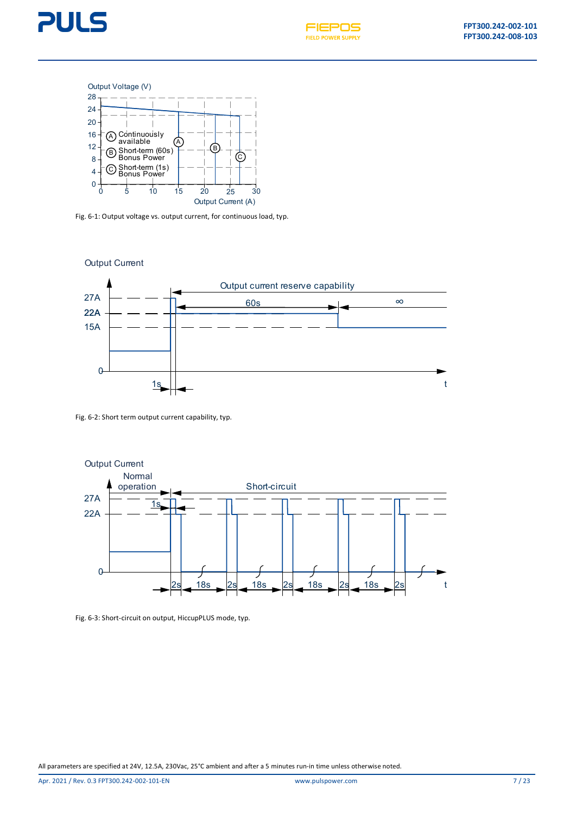







<span id="page-6-0"></span>Fig. 6-1: Output voltage vs. output current, for continuous load, typ.



Fig. 6-2: Short term output current capability, typ.



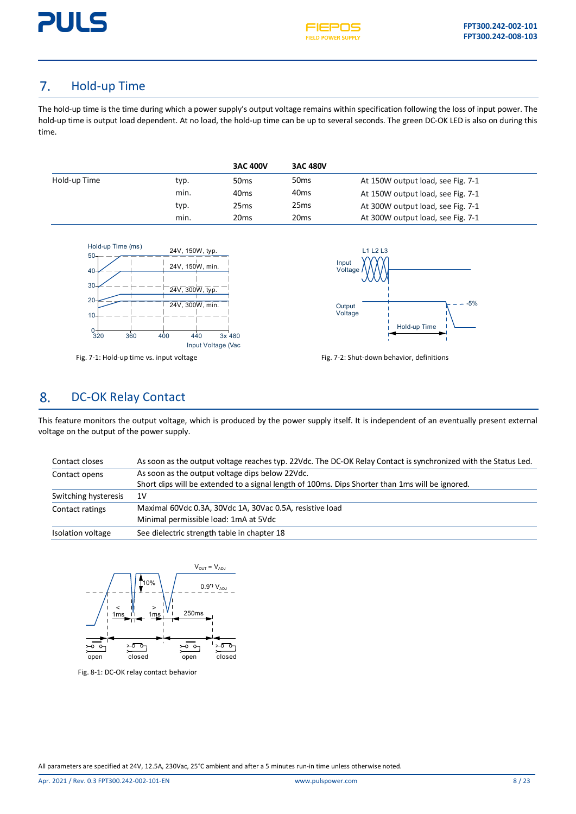

#### <span id="page-7-0"></span>7. Hold-up Time

The hold-up time is the time during which a power supply's output voltage remains within specification following the loss of input power. The hold-up time is output load dependent. At no load, the hold-up time can be up to several seconds. The green DC-OK LED is also on during this time.

|              |      | <b>3AC 400V</b>  | <b>3AC 480V</b>  |                                   |
|--------------|------|------------------|------------------|-----------------------------------|
| Hold-up Time | typ. | 50 <sub>ms</sub> | 50 <sub>ms</sub> | At 150W output load, see Fig. 7-1 |
|              | min. | 40 <sub>ms</sub> | 40 <sub>ms</sub> | At 150W output load, see Fig. 7-1 |
|              | typ. | 25 <sub>ms</sub> | 25 <sub>ms</sub> | At 300W output load, see Fig. 7-1 |
|              | min. | 20 <sub>ms</sub> | 20 <sub>ms</sub> | At 300W output load, see Fig. 7-1 |





<span id="page-7-2"></span>

#### <span id="page-7-1"></span>8. DC-OK Relay Contact

This feature monitors the output voltage, which is produced by the power supply itself. It is independent of an eventually present external voltage on the output of the power supply.

| Contact closes       | As soon as the output voltage reaches typ. 22Vdc. The DC-OK Relay Contact is synchronized with the Status Led. |
|----------------------|----------------------------------------------------------------------------------------------------------------|
| Contact opens        | As soon as the output voltage dips below 22Vdc.                                                                |
|                      | Short dips will be extended to a signal length of 100ms. Dips Shorter than 1ms will be ignored.                |
| Switching hysteresis | 1V                                                                                                             |
| Contact ratings      | Maximal 60Vdc 0.3A, 30Vdc 1A, 30Vac 0.5A, resistive load                                                       |
|                      | Minimal permissible load: 1mA at 5Vdc                                                                          |
| Isolation voltage    | See dielectric strength table in chapter 18                                                                    |



Fig. 8-1: DC-OK relay contact behavior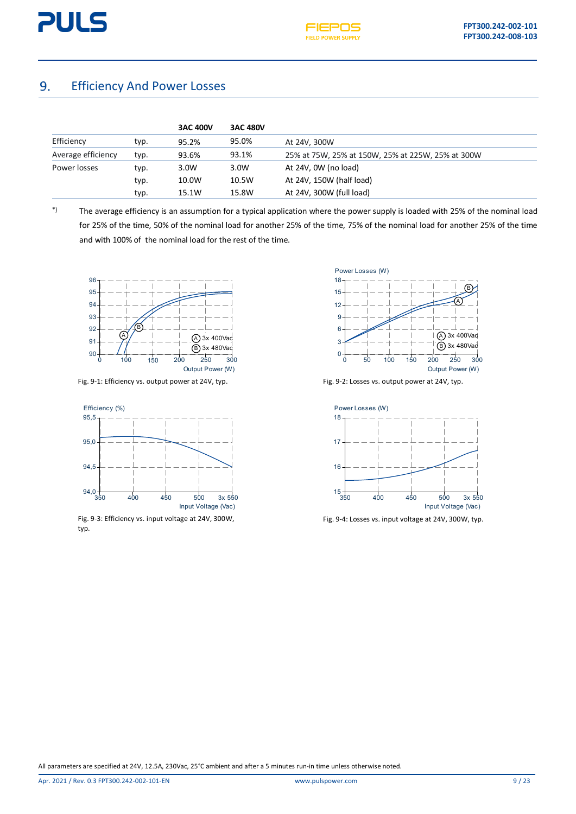#### <span id="page-8-0"></span>Efficiency And Power Losses 9.

|                    |      | <b>3AC 400V</b> | <b>3AC 480V</b> |                                                   |
|--------------------|------|-----------------|-----------------|---------------------------------------------------|
| Efficiency         | typ. | 95.2%           | 95.0%           | At 24V, 300W                                      |
| Average efficiency | typ. | 93.6%           | 93.1%           | 25% at 75W, 25% at 150W, 25% at 225W, 25% at 300W |
| Power losses       | typ. | 3.0W            | 3.0W            | At 24V, OW (no load)                              |
|                    | typ. | 10.0W           | 10.5W           | At 24V, 150W (half load)                          |
|                    | typ. | 15.1W           | 15.8W           | At 24V, 300W (full load)                          |

\*) The average efficiency is an assumption for a typical application where the power supply is loaded with 25% of the nominal load for 25% of the time, 50% of the nominal load for another 25% of the time, 75% of the nominal load for another 25% of the time and with 100% of the nominal load for the rest of the time.



Fig. 9-1: Efficiency vs. output power at 24V, typ. Fig. 9-2: Losses vs. output power at 24V, typ.



Fig. 9-3: Efficiency vs. input voltage at 24V, 300W, typ.





Fig. 9-4: Losses vs. input voltage at 24V, 300W, typ.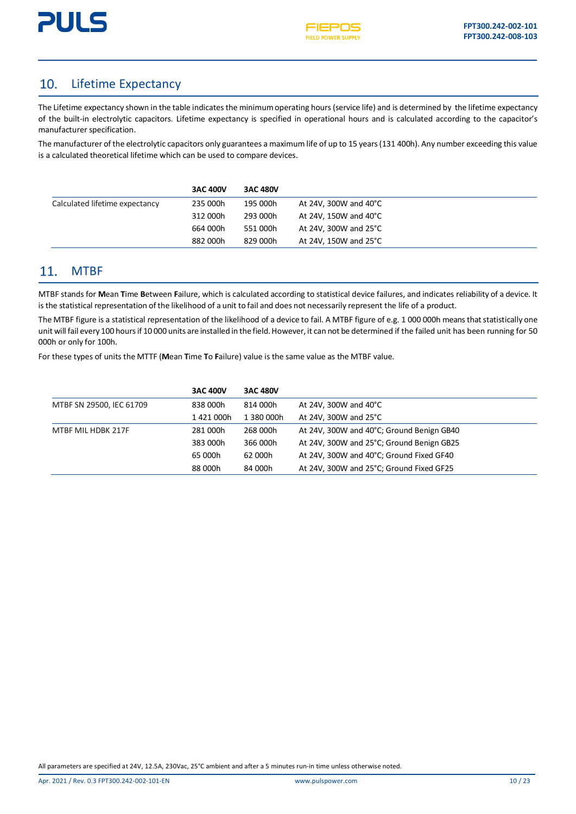

#### <span id="page-9-0"></span> $10<sub>1</sub>$ Lifetime Expectancy

The Lifetime expectancy shown in the table indicates the minimum operating hours (service life) and is determined by the lifetime expectancy of the built-in electrolytic capacitors. Lifetime expectancy is specified in operational hours and is calculated according to the capacitor's manufacturer specification.

The manufacturer of the electrolytic capacitors only guarantees a maximum life of up to 15 years (131 400h). Any number exceeding this value is a calculated theoretical lifetime which can be used to compare devices.

|                                | <b>3AC 400V</b> | <b>3AC 480V</b> |                       |
|--------------------------------|-----------------|-----------------|-----------------------|
| Calculated lifetime expectancy | 235 000h        | 195 000h        | At 24V, 300W and 40°C |
|                                | 312 000h        | 293 000h        | At 24V, 150W and 40°C |
|                                | 664 000h        | 551 000h        | At 24V, 300W and 25°C |
|                                | 882 000h        | 829 000h        | At 24V, 150W and 25°C |

#### <span id="page-9-1"></span>**MTBF**  $11.$

MTBF stands for **M**ean **T**ime **B**etween **F**ailure, which is calculated according to statistical device failures, and indicates reliability of a device. It isthe statistical representation of the likelihood of a unit to fail and does not necessarily represent the life of a product.

The MTBF figure is a statistical representation of the likelihood of a device to fail. A MTBF figure of e.g. 1 000 000h means that statistically one unit will fail every 100 hours if 10 000 units are installed in the field. However, it can not be determined if the failed unit has been running for 50 000h or only for 100h.

For these types of units the MTTF (**M**ean **T**ime **T**o **F**ailure) value is the same value as the MTBF value.

|                          | <b>3AC 400V</b> | <b>3AC 480V</b> |                                           |
|--------------------------|-----------------|-----------------|-------------------------------------------|
| MTBF SN 29500, IEC 61709 | 838 000h        | 814 000h        | At 24V, 300W and 40 $^{\circ}$ C          |
|                          | 1 421 000h      | 1 380 000h      | At 24V, 300W and 25°C                     |
| MTBF MIL HDBK 217F       | 281 000h        | 268 000h        | At 24V, 300W and 40°C; Ground Benign GB40 |
|                          | 383 000h        | 366 000h        | At 24V, 300W and 25°C; Ground Benign GB25 |
|                          | 65 000h         | 62 000h         | At 24V, 300W and 40°C; Ground Fixed GF40  |
|                          | 88 000h         | 84 000h         | At 24V, 300W and 25°C; Ground Fixed GF25  |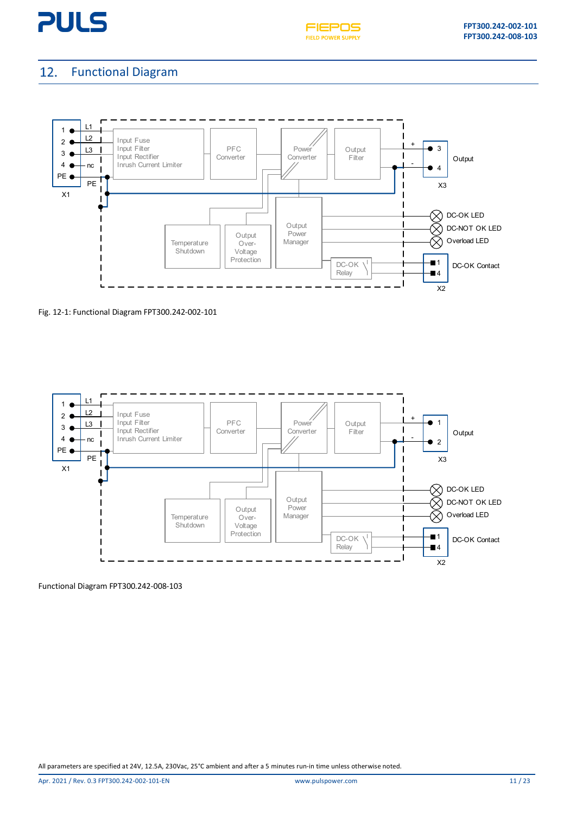



#### <span id="page-10-0"></span>Functional Diagram 12.



Fig. 12-1: Functional Diagram FPT300.242-002-101



Functional Diagram FPT300.242-008-103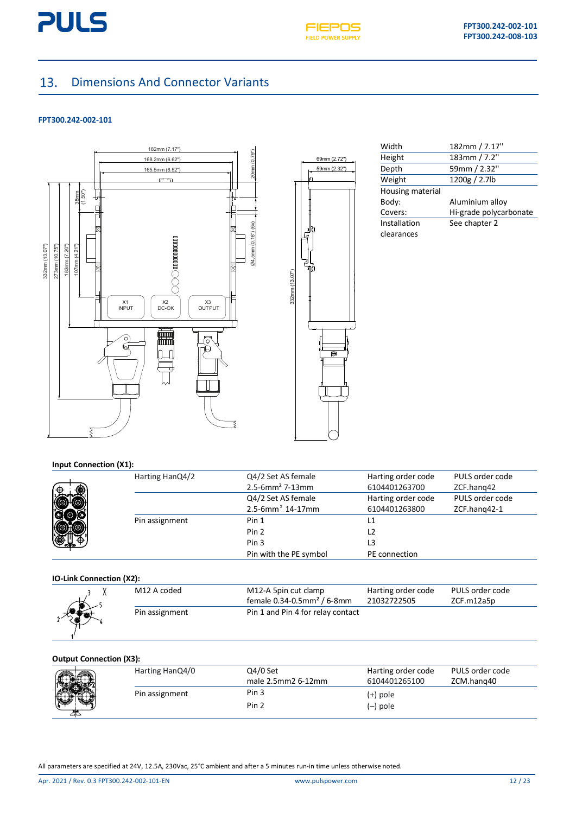



#### <span id="page-11-0"></span>Dimensions And Connector Variants  $13.$

#### **FPT300.242-002-101**



|                | 69mm (2.72")<br>59mm (2.32")         |
|----------------|--------------------------------------|
| 332mm (13.07") | ſ<br>IJυ<br>G<br>ام<br>յլ<br>¶0<br>ē |

| Width            | 182mm / 7.17"          |
|------------------|------------------------|
| Height           | 183mm / 7.2"           |
| Depth            | 59mm / 2.32"           |
| Weight           | 1200g / 2.7lb          |
| Housing material |                        |
| Body:            | Aluminium alloy        |
| Covers:          | Hi-grade polycarbonate |
| Installation     | See chapter 2          |
| clearances       |                        |

#### **Input Connection (X1):**

| ⊕                            | Harting HanQ4/2 | Q4/2 Set AS female<br>$2.5 - 6$ mm <sup>2</sup> 7-13mm  | Harting order code<br>6104401263700 | PULS order code<br>ZCF.hang42   |
|------------------------------|-----------------|---------------------------------------------------------|-------------------------------------|---------------------------------|
|                              |                 | Q4/2 Set AS female<br>$2.5 - 6$ mm <sup>2</sup> 14-17mm | Harting order code<br>6104401263800 | PULS order code<br>ZCF.hang42-1 |
|                              | Pin assignment  | Pin 1                                                   |                                     |                                 |
|                              |                 | Pin 2                                                   |                                     |                                 |
| $\bigoplus_{n\in\mathbb{Z}}$ |                 | Pin <sub>3</sub>                                        |                                     |                                 |
|                              |                 | Pin with the PE symbol                                  | PE connection                       |                                 |

#### **IO-Link Connection (X2):**

| M12 A coded    | M12-A 5pin cut clamp<br>female $0.34 - 0.5$ mm <sup>2</sup> / 6-8mm | Harting order code<br>21032722505 | PULS order code<br>ZCF.m12a5p |
|----------------|---------------------------------------------------------------------|-----------------------------------|-------------------------------|
| Pin assignment | Pin 1 and Pin 4 for relay contact                                   |                                   |                               |

#### **Output Connection (X3):**

| PULS order code<br>ZCM.hang40 |
|-------------------------------|
|                               |
|                               |
|                               |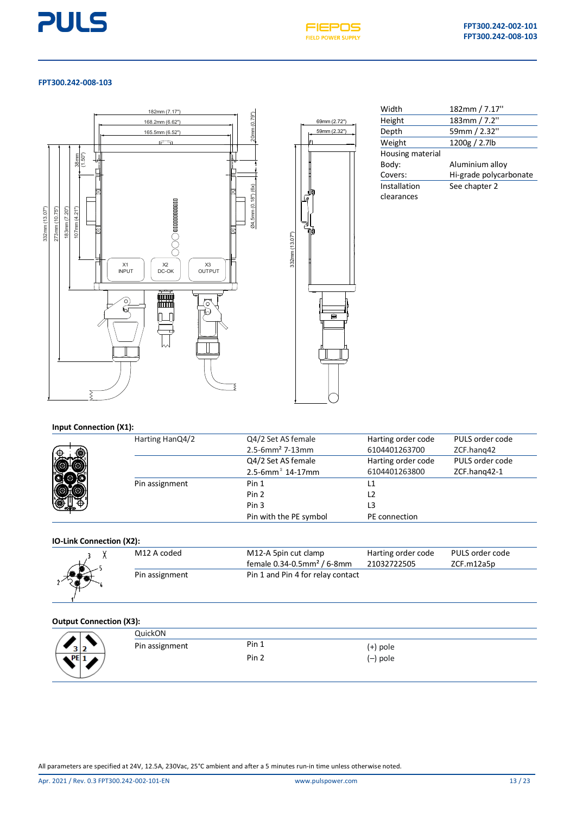



#### **FPT300.242-008-103**





| Width            | 182mm / 7.17"          |
|------------------|------------------------|
| Height           | 183mm / 7.2"           |
| Depth            | 59mm / 2.32"           |
| Weight           | 1200g / 2.7lb          |
| Housing material |                        |
| Body:            | Aluminium alloy        |
| Covers:          | Hi-grade polycarbonate |
| Installation     | See chapter 2          |
| clearances       |                        |

#### **Input Connection (X1):**

| Harting HanQ4/2 | Q4/2 Set AS female<br>$2.5 - 6$ mm <sup>2</sup> 7-13mm  | Harting order code<br>6104401263700 | PULS order code<br>ZCF.hang42   |
|-----------------|---------------------------------------------------------|-------------------------------------|---------------------------------|
|                 | Q4/2 Set AS female<br>$2.5 - 6$ mm <sup>2</sup> 14-17mm | Harting order code<br>6104401263800 | PULS order code<br>ZCF.hang42-1 |
| Pin assignment  | Pin 1                                                   |                                     |                                 |
|                 | Pin 2                                                   |                                     |                                 |
|                 | Pin <sub>3</sub>                                        | L3                                  |                                 |
|                 | Pin with the PE symbol                                  | PE connection                       |                                 |

#### **IO-Link Connection (X2):**

| M12 A coded    | M12-A 5pin cut clamp                        | Harting order code | PULS order code |
|----------------|---------------------------------------------|--------------------|-----------------|
|                | female $0.34 - 0.5$ mm <sup>2</sup> / 6-8mm | 21032722505        | ZCF.m12a5p      |
| Pin assignment | Pin 1 and Pin 4 for relay contact           |                    |                 |

### **Output Connection (X3):**

| <u>satpat sonnestion (2021:</u> |                |                  |          |  |
|---------------------------------|----------------|------------------|----------|--|
|                                 | QuickON        |                  |          |  |
|                                 | Pin assignment | Pin 1            | (+) pole |  |
| $\mathbf{DE}$                   |                | Pin <sub>2</sub> | (–) pole |  |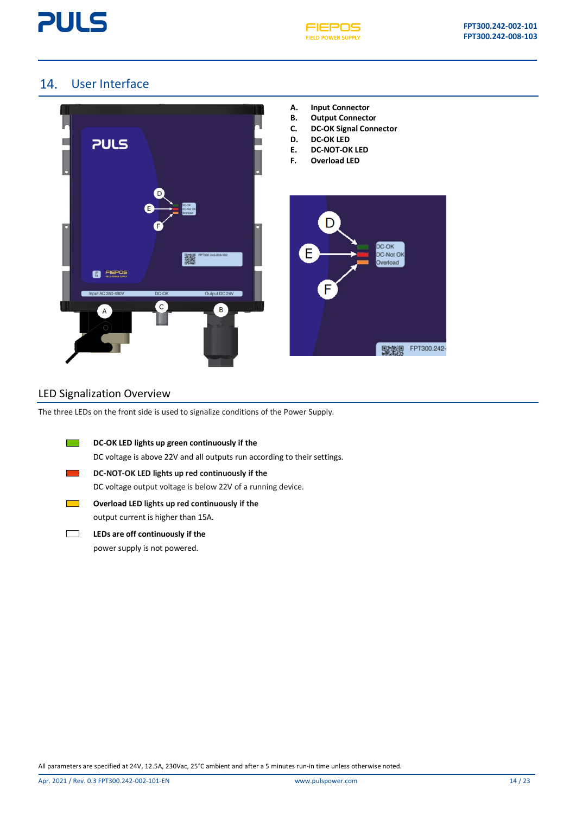



### <span id="page-13-0"></span>14. User Interface



### LED Signalization Overview

The three LEDs on the front side is used to signalize conditions of the Power Supply.

| DC-OK LED lights up green continuously if the                            |
|--------------------------------------------------------------------------|
| DC voltage is above 22V and all outputs run according to their settings. |
| DC-NOT-OK LED lights up red continuously if the                          |
| DC voltage output voltage is below 22V of a running device.              |
| Overload LED lights up red continuously if the                           |
| output current is higher than 15A.                                       |
|                                                                          |

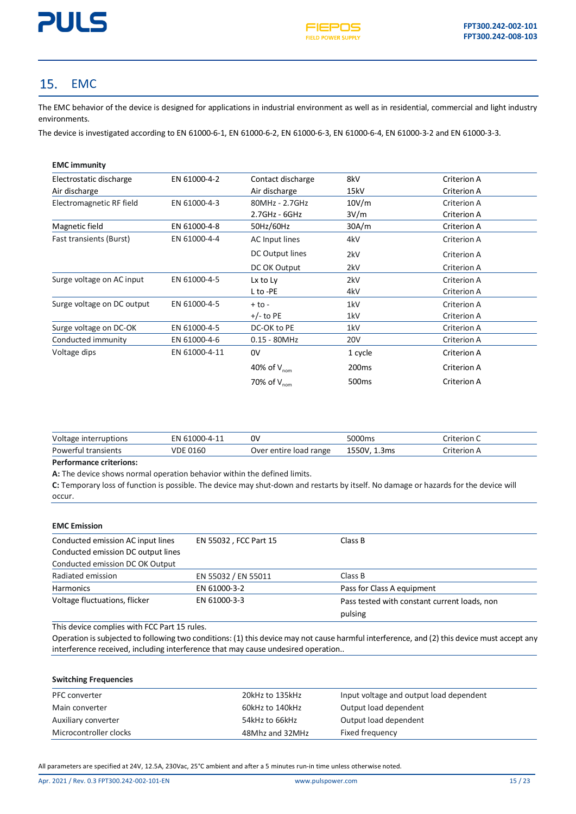

#### <span id="page-14-0"></span>15. EMC

The EMC behavior of the device is designed for applications in industrial environment as well as in residential, commercial and light industry environments.

The device is investigated according to EN 61000-6-1, EN 61000-6-2, EN 61000-6-3, EN 61000-6-4, EN 61000-3-2 and EN 61000-3-3.

| <b>EMC</b> immunity        |               |                         |                   |             |
|----------------------------|---------------|-------------------------|-------------------|-------------|
| Electrostatic discharge    | EN 61000-4-2  | Contact discharge       | 8kV               | Criterion A |
| Air discharge              |               | Air discharge           | 15kV              | Criterion A |
| Electromagnetic RF field   | EN 61000-4-3  | 80MHz - 2.7GHz          | 10V/m             | Criterion A |
|                            |               | 2.7GHz - 6GHz           | 3V/m              | Criterion A |
| Magnetic field             | EN 61000-4-8  | 50Hz/60Hz               | 30A/m             | Criterion A |
| Fast transients (Burst)    | EN 61000-4-4  | AC Input lines          | 4kV               | Criterion A |
|                            |               | DC Output lines         | 2kV               | Criterion A |
|                            |               | DC OK Output            | 2kV               | Criterion A |
| Surge voltage on AC input  | EN 61000-4-5  | Lx to Ly                | 2kV               | Criterion A |
|                            |               | L to -PE                | 4kV               | Criterion A |
| Surge voltage on DC output | EN 61000-4-5  | $+$ to -                | 1kV               | Criterion A |
|                            |               | $+/-$ to PE             | 1kV               | Criterion A |
| Surge voltage on DC-OK     | EN 61000-4-5  | DC-OK to PE             | 1kV               | Criterion A |
| Conducted immunity         | EN 61000-4-6  | $0.15 - 80$ MHz         | <b>20V</b>        | Criterion A |
| Voltage dips               | EN 61000-4-11 | 0V                      | 1 cycle           | Criterion A |
|                            |               | 40% of $V_{nom}$        | 200 <sub>ms</sub> | Criterion A |
|                            |               | 70% of V <sub>nom</sub> | 500 <sub>ms</sub> | Criterion A |

| Voltage<br>interruptions | $1000 - 4 - 1$<br>≂ΝΙ<br>hi | ٥v                        | 5000 <sub>ms</sub> | `riterion C |
|--------------------------|-----------------------------|---------------------------|--------------------|-------------|
| Powerful transients      | VDE 0160                    | load range<br>Over entire | 1550\<br>1.3ms     | `riterion A |

#### **Performance criterions:**

**A:** The device shows normal operation behavior within the defined limits.

**C:** Temporary loss of function is possible. The device may shut-down and restarts by itself. No damage or hazards for the device will occur.

### **EMC Emission**

| Conducted emission AC input lines  | EN 55032, FCC Part 15 | Class B                                      |
|------------------------------------|-----------------------|----------------------------------------------|
| Conducted emission DC output lines |                       |                                              |
| Conducted emission DC OK Output    |                       |                                              |
| Radiated emission                  | EN 55032 / EN 55011   | Class B                                      |
| <b>Harmonics</b>                   | EN 61000-3-2          | Pass for Class A equipment                   |
| Voltage fluctuations, flicker      | EN 61000-3-3          | Pass tested with constant current loads, non |
|                                    |                       | pulsing                                      |

This device complies with FCC Part 15 rules.

Operation is subjected to following two conditions: (1) this device may not cause harmful interference, and (2) this device must accept any interference received, including interference that may cause undesired operation..

### **Switching Frequencies**

| <b>PFC</b> converter   | 20kHz to 135kHz | Input voltage and output load dependent |
|------------------------|-----------------|-----------------------------------------|
|                        |                 |                                         |
| Main converter         | 60kHz to 140kHz | Output load dependent                   |
| Auxiliary converter    | 54kHz to 66kHz  | Output load dependent                   |
| Microcontroller clocks | 48Mhz and 32MHz | Fixed frequency                         |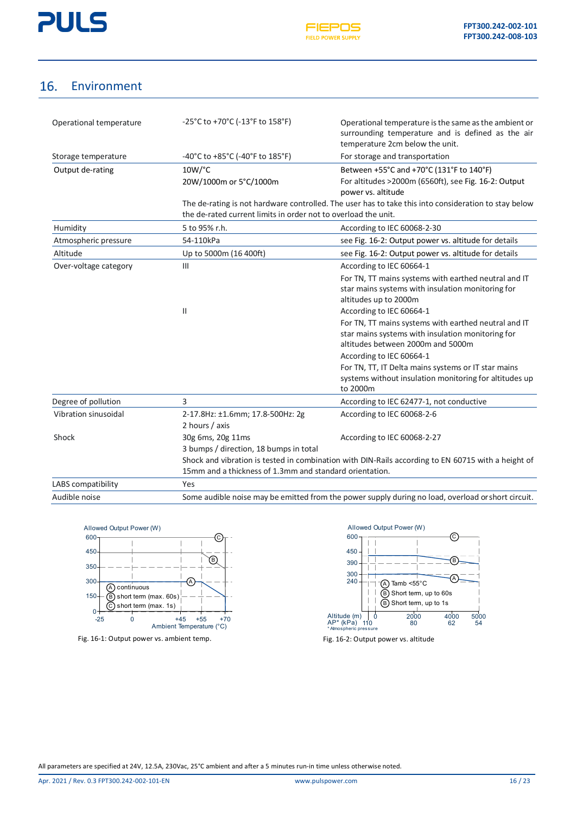

#### <span id="page-15-0"></span>16. Environment

| Operational temperature | $-25^{\circ}$ C to +70 $^{\circ}$ C (-13 $^{\circ}$ F to 158 $^{\circ}$ F) | Operational temperature is the same as the ambient or<br>surrounding temperature and is defined as the air<br>temperature 2cm below the unit. |
|-------------------------|----------------------------------------------------------------------------|-----------------------------------------------------------------------------------------------------------------------------------------------|
| Storage temperature     | $-40^{\circ}$ C to $+85^{\circ}$ C (-40 $^{\circ}$ F to 185 $^{\circ}$ F)  | For storage and transportation                                                                                                                |
| Output de-rating        | $10W$ / $^{\circ}$ C<br>20W/1000m or 5°C/1000m                             | Between +55°C and +70°C (131°F to 140°F)<br>For altitudes >2000m (6560ft), see Fig. 16-2: Output<br>power vs. altitude                        |

The de-rating is not hardware controlled. The user has to take this into consideration to stay below the de-rated current limits in order not to overload the unit.

| Humidity              | 5 to 95% r.h.<br>According to IEC 60068-2-30                                                                                                                  |                                                                                                                                                |  |
|-----------------------|---------------------------------------------------------------------------------------------------------------------------------------------------------------|------------------------------------------------------------------------------------------------------------------------------------------------|--|
| Atmospheric pressure  | 54-110kPa                                                                                                                                                     | see Fig. 16-2: Output power vs. altitude for details                                                                                           |  |
| Altitude              | Up to 5000m (16 400ft)                                                                                                                                        | see Fig. 16-2: Output power vs. altitude for details                                                                                           |  |
| Over-voltage category | $\mathbf{III}$                                                                                                                                                | According to IEC 60664-1                                                                                                                       |  |
|                       |                                                                                                                                                               | For TN, TT mains systems with earthed neutral and IT<br>star mains systems with insulation monitoring for<br>altitudes up to 2000m             |  |
|                       | $\mathbf{H}$                                                                                                                                                  | According to IEC 60664-1                                                                                                                       |  |
|                       |                                                                                                                                                               | For TN, TT mains systems with earthed neutral and IT<br>star mains systems with insulation monitoring for<br>altitudes between 2000m and 5000m |  |
|                       |                                                                                                                                                               | According to IEC 60664-1                                                                                                                       |  |
|                       |                                                                                                                                                               | For TN, TT, IT Delta mains systems or IT star mains<br>systems without insulation monitoring for altitudes up<br>to 2000m                      |  |
| Degree of pollution   | 3                                                                                                                                                             | According to IEC 62477-1, not conductive                                                                                                       |  |
| Vibration sinusoidal  | 2-17.8Hz: ±1.6mm; 17.8-500Hz: 2g<br>2 hours / axis                                                                                                            | According to IEC 60068-2-6                                                                                                                     |  |
| Shock                 | 30g 6ms, 20g 11ms                                                                                                                                             | According to IEC 60068-2-27                                                                                                                    |  |
|                       | 3 bumps / direction, 18 bumps in total                                                                                                                        |                                                                                                                                                |  |
|                       | Shock and vibration is tested in combination with DIN-Rails according to EN 60715 with a height of<br>15mm and a thickness of 1.3mm and standard orientation. |                                                                                                                                                |  |
| LABS compatibility    | <b>Yes</b>                                                                                                                                                    |                                                                                                                                                |  |
| Audible noise         | Some audible noise may be emitted from the power supply during no load, overload or short circuit.                                                            |                                                                                                                                                |  |



Fig. 16-1: Output power vs. ambient temp. The same of the set of Fig. 16-2: Output power vs. altitude



<span id="page-15-1"></span>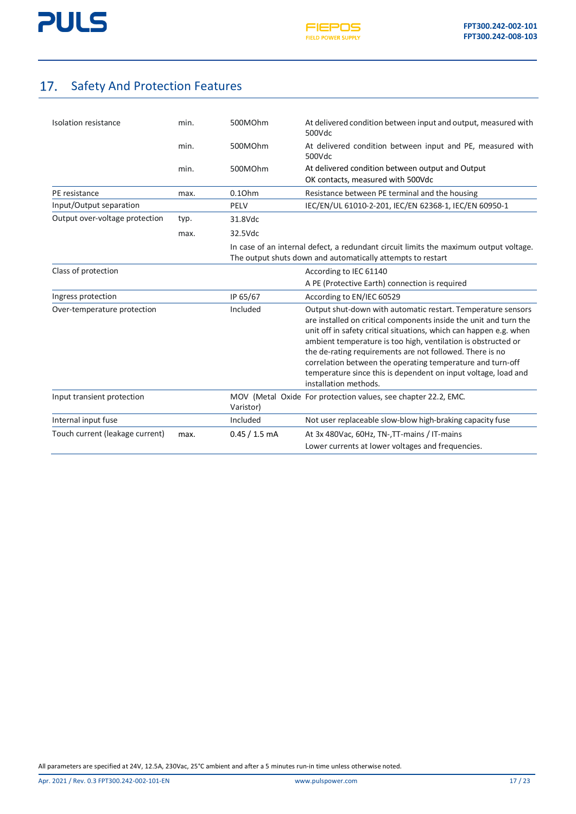

## <span id="page-16-0"></span>17. Safety And Protection Features

| Isolation resistance            | min. | 500MOhm            | At delivered condition between input and output, measured with<br>500Vdc                                                                                                                                                                                                                                                                                                                                                                                                                      |
|---------------------------------|------|--------------------|-----------------------------------------------------------------------------------------------------------------------------------------------------------------------------------------------------------------------------------------------------------------------------------------------------------------------------------------------------------------------------------------------------------------------------------------------------------------------------------------------|
|                                 | min. | 500MOhm            | At delivered condition between input and PE, measured with<br>500Vdc                                                                                                                                                                                                                                                                                                                                                                                                                          |
|                                 | min. | 500MOhm            | At delivered condition between output and Output<br>OK contacts, measured with 500Vdc                                                                                                                                                                                                                                                                                                                                                                                                         |
| PE resistance                   | max. | 0.10 <sub>hm</sub> | Resistance between PE terminal and the housing                                                                                                                                                                                                                                                                                                                                                                                                                                                |
| Input/Output separation         |      | PELV               | IEC/EN/UL 61010-2-201, IEC/EN 62368-1, IEC/EN 60950-1                                                                                                                                                                                                                                                                                                                                                                                                                                         |
| Output over-voltage protection  | typ. | 31.8Vdc            |                                                                                                                                                                                                                                                                                                                                                                                                                                                                                               |
|                                 | max. | 32.5Vdc            |                                                                                                                                                                                                                                                                                                                                                                                                                                                                                               |
|                                 |      |                    | In case of an internal defect, a redundant circuit limits the maximum output voltage.<br>The output shuts down and automatically attempts to restart                                                                                                                                                                                                                                                                                                                                          |
| Class of protection             |      |                    | According to IEC 61140                                                                                                                                                                                                                                                                                                                                                                                                                                                                        |
|                                 |      |                    | A PE (Protective Earth) connection is required                                                                                                                                                                                                                                                                                                                                                                                                                                                |
| Ingress protection              |      | IP 65/67           | According to EN/IEC 60529                                                                                                                                                                                                                                                                                                                                                                                                                                                                     |
| Over-temperature protection     |      | Included           | Output shut-down with automatic restart. Temperature sensors<br>are installed on critical components inside the unit and turn the<br>unit off in safety critical situations, which can happen e.g. when<br>ambient temperature is too high, ventilation is obstructed or<br>the de-rating requirements are not followed. There is no<br>correlation between the operating temperature and turn-off<br>temperature since this is dependent on input voltage, load and<br>installation methods. |
| Input transient protection      |      | Varistor)          | MOV (Metal Oxide For protection values, see chapter 22.2, EMC.                                                                                                                                                                                                                                                                                                                                                                                                                                |
| Internal input fuse             |      | Included           | Not user replaceable slow-blow high-braking capacity fuse                                                                                                                                                                                                                                                                                                                                                                                                                                     |
| Touch current (leakage current) | max. | $0.45 / 1.5$ mA    | At 3x 480Vac, 60Hz, TN-, TT-mains / IT-mains                                                                                                                                                                                                                                                                                                                                                                                                                                                  |
|                                 |      |                    | Lower currents at lower voltages and frequencies.                                                                                                                                                                                                                                                                                                                                                                                                                                             |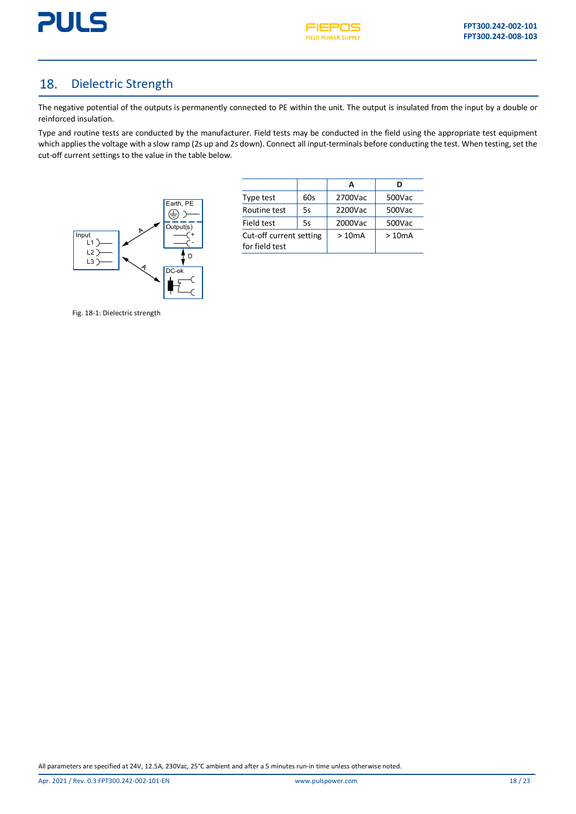



#### <span id="page-17-0"></span>Dielectric Strength 18.

The negative potential of the outputs is permanently connected to PE within the unit. The output is insulated from the input by a double or reinforced insulation.

Type and routine tests are conducted by the manufacturer. Field tests may be conducted in the field using the appropriate test equipment which applies the voltage with a slow ramp (2s up and 2s down). Connect all input-terminals before conducting the test. When testing, set the cut-off current settings to the value in the table below.



| E.        | Type test                                 | 60s | 2700Vac | 500Vac |
|-----------|-------------------------------------------|-----|---------|--------|
|           | Routine test                              | 5s  | 2200Vac | 500Vac |
|           | Field test                                | 5s  | 2000Vac | 500Vac |
| $\ddot{}$ | Cut-off current setting<br>for field test |     | >10mA   | >10mA  |

Fig. 18-1: Dielectric strength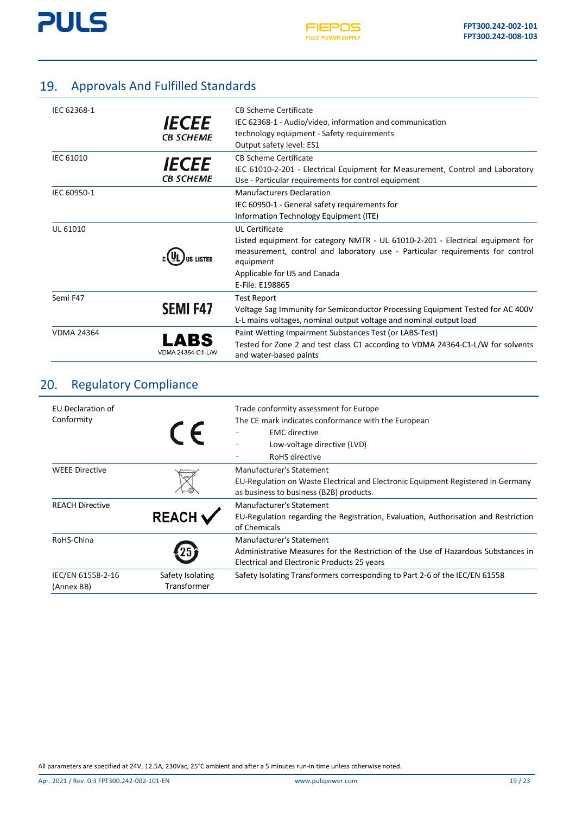

## <span id="page-18-0"></span>19. Approvals And Fulfilled Standards

| IEC 62368-1       | <i><b>IECEE</b></i><br><b>CB SCHEME</b> | CB Scheme Certificate<br>IEC 62368-1 - Audio/video, information and communication<br>technology equipment - Safety requirements<br>Output safety level: ES1                                                                                              |
|-------------------|-----------------------------------------|----------------------------------------------------------------------------------------------------------------------------------------------------------------------------------------------------------------------------------------------------------|
| IEC 61010         | <i><b>IECEE</b></i><br><b>CB SCHEME</b> | CB Scheme Certificate<br>IEC 61010-2-201 - Electrical Equipment for Measurement, Control and Laboratory<br>Use - Particular requirements for control equipment                                                                                           |
| IEC 60950-1       |                                         | <b>Manufacturers Declaration</b><br>IEC 60950-1 - General safety requirements for<br>Information Technology Equipment (ITE)                                                                                                                              |
| UL 61010          |                                         | <b>UL Certificate</b><br>Listed equipment for category NMTR - UL 61010-2-201 - Electrical equipment for<br>measurement, control and laboratory use - Particular requirements for control<br>equipment<br>Applicable for US and Canada<br>E-File: E198865 |
| Semi F47          | <b>SEMI F47</b>                         | <b>Test Report</b><br>Voltage Sag Immunity for Semiconductor Processing Equipment Tested for AC 400V<br>L-L mains voltages, nominal output voltage and nominal output load                                                                               |
| <b>VDMA 24364</b> | A I<br>VDMA 24364-C1-L/W                | Paint Wetting Impairment Substances Test (or LABS-Test)<br>Tested for Zone 2 and test class C1 according to VDMA 24364-C1-L/W for solvents<br>and water-based paints                                                                                     |

### <span id="page-18-1"></span>20. Regulatory Compliance

| EU Declaration of<br>Conformity | $\epsilon$                      | Trade conformity assessment for Europe<br>The CE mark indicates conformance with the European<br><b>EMC</b> directive<br>Low-voltage directive (LVD)<br>RoHS directive |  |
|---------------------------------|---------------------------------|------------------------------------------------------------------------------------------------------------------------------------------------------------------------|--|
| <b>WEEE Directive</b>           |                                 | Manufacturer's Statement<br>EU-Regulation on Waste Electrical and Electronic Equipment Registered in Germany<br>as business to business (B2B) products.                |  |
| <b>REACH Directive</b>          | <b>REACH</b>                    | Manufacturer's Statement<br>EU-Regulation regarding the Registration, Evaluation, Authorisation and Restriction<br>of Chemicals                                        |  |
| RoHS-China                      |                                 | Manufacturer's Statement<br>Administrative Measures for the Restriction of the Use of Hazardous Substances in<br>Electrical and Electronic Products 25 years           |  |
| IEC/EN 61558-2-16<br>(Annex BB) | Safety Isolating<br>Transformer | Safety Isolating Transformers corresponding to Part 2-6 of the IEC/EN 61558                                                                                            |  |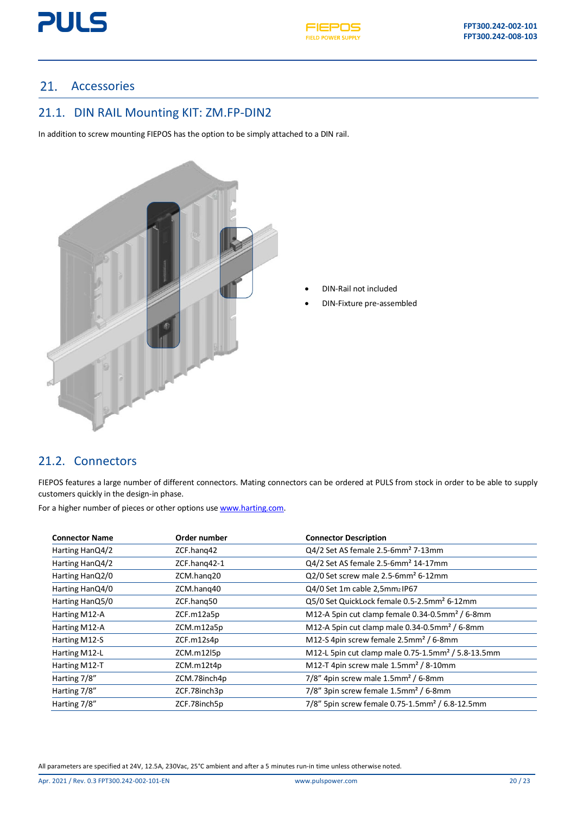



### <span id="page-19-0"></span>21. Accessories

### <span id="page-19-1"></span>21.1. DIN RAIL Mounting KIT: ZM.FP-DIN2

In addition to screw mounting FIEPOS has the option to be simply attached to a DIN rail.



- DIN-Rail not included
- DIN-Fixture pre-assembled

### <span id="page-19-2"></span>21.2. Connectors

FIEPOS features a large number of different connectors. Mating connectors can be ordered at PULS from stock in order to be able to supply customers quickly in the design-in phase.

For a higher number of pieces or other options us[e www.harting.com.](http://www.harting.com/)

| <b>Connector Name</b> | Order number | <b>Connector Description</b>                                     |
|-----------------------|--------------|------------------------------------------------------------------|
| Harting HanQ4/2       | ZCF.hang42   | Q4/2 Set AS female 2.5-6mm <sup>2</sup> 7-13mm                   |
| Harting HanQ4/2       | ZCF.hang42-1 | Q4/2 Set AS female 2.5-6mm <sup>2</sup> 14-17mm                  |
| Harting HanQ2/0       | ZCM.hang20   | Q2/0 Set screw male 2.5-6mm <sup>2</sup> 6-12mm                  |
| Harting HanQ4/0       | ZCM.hang40   | Q4/0 Set 1m cable 2,5mm2 IP67                                    |
| Harting HanQ5/0       | ZCF.hang50   | Q5/0 Set QuickLock female 0.5-2.5mm <sup>2</sup> 6-12mm          |
| Harting M12-A         | ZCF.m12a5p   | M12-A 5pin cut clamp female 0.34-0.5mm <sup>2</sup> / 6-8mm      |
| Harting M12-A         | ZCM.m12a5p   | M12-A 5pin cut clamp male $0.34$ - $0.5$ mm <sup>2</sup> / 6-8mm |
| Harting M12-S         | ZCF.m12s4p   | M12-S 4pin screw female 2.5mm <sup>2</sup> / 6-8mm               |
| Harting M12-L         | ZCM.m12l5p   | M12-L 5pin cut clamp male 0.75-1.5mm <sup>2</sup> / 5.8-13.5mm   |
| Harting M12-T         | ZCM.m12t4p   | M12-T 4pin screw male $1.5$ mm <sup>2</sup> / 8-10mm             |
| Harting 7/8"          | ZCM.78inch4p | $7/8''$ 4pin screw male 1.5mm <sup>2</sup> / 6-8mm               |
| Harting 7/8"          | ZCF.78inch3p | 7/8" 3pin screw female 1.5mm <sup>2</sup> / 6-8mm                |
| Harting 7/8"          | ZCF.78inch5p | 7/8" 5pin screw female 0.75-1.5mm <sup>2</sup> / 6.8-12.5mm      |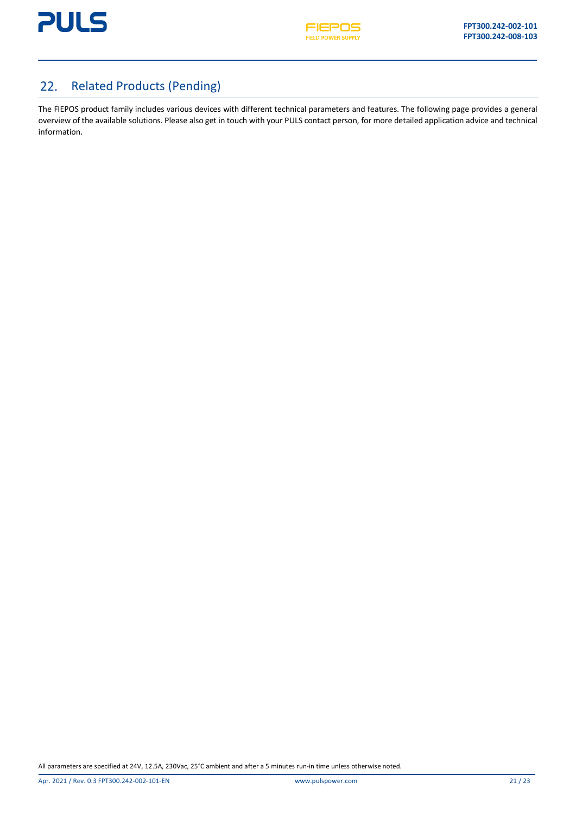

#### <span id="page-20-0"></span>Related Products (Pending) 22.

The FIEPOS product family includes various devices with different technical parameters and features. The following page provides a general overview of the available solutions. Please also get in touch with your PULS contact person, for more detailed application advice and technical information.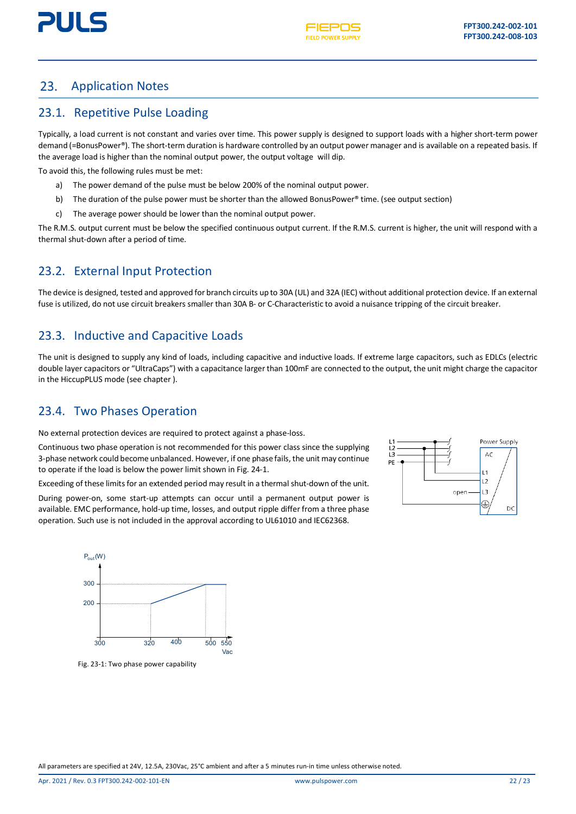

#### <span id="page-21-0"></span>23. Application Notes

### <span id="page-21-1"></span>23.1. Repetitive Pulse Loading

Typically, a load current is not constant and varies over time. This power supply is designed to support loads with a higher short-term power demand (=BonusPower®). The short-term duration is hardware controlled by an output power manager and is available on a repeated basis. If the average load is higher than the nominal output power, the output voltage will dip.

To avoid this, the following rules must be met:

- a) The power demand of the pulse must be below 200% of the nominal output power.
- b) The duration of the pulse power must be shorter than the allowed BonusPower® time. (see output section)
- c) The average power should be lower than the nominal output power.

The R.M.S. output current must be below the specified continuous output current. If the R.M.S. current is higher, the unit will respond with a thermal shut-down after a period of time.

### <span id="page-21-2"></span>23.2. External Input Protection

The device is designed, tested and approved for branch circuits up to 30A (UL) and 32A (IEC) without additional protection device. If an external fuse is utilized, do not use circuit breakers smaller than 30A B- or C-Characteristic to avoid a nuisance tripping of the circuit breaker.

### <span id="page-21-3"></span>23.3. Inductive and Capacitive Loads

The unit is designed to supply any kind of loads, including capacitive and inductive loads. If extreme large capacitors, such as EDLCs (electric double layer capacitors or "UltraCaps") with a capacitance larger than 100mF are connected to the output, the unit might charge the capacitor in the HiccupPLUS mode (see chapter ).

### <span id="page-21-4"></span>23.4. Two Phases Operation

No external protection devices are required to protect against a phase-loss.

Continuous two phase operation is not recommended for this power class since the supplying 3-phase network could become unbalanced. However, if one phase fails, the unit may continue to operate if the load is below the power limit shown in Fig. 24-1.

Exceeding of these limits for an extended period may result in a thermal shut-down of the unit.

During power-on, some start-up attempts can occur until a permanent output power is available. EMC performance, hold-up time, losses, and output ripple differ from a three phase operation. Such use is not included in the approval according to UL61010 and IEC62368.





<span id="page-21-5"></span>Fig. 23-1: Two phase power capability